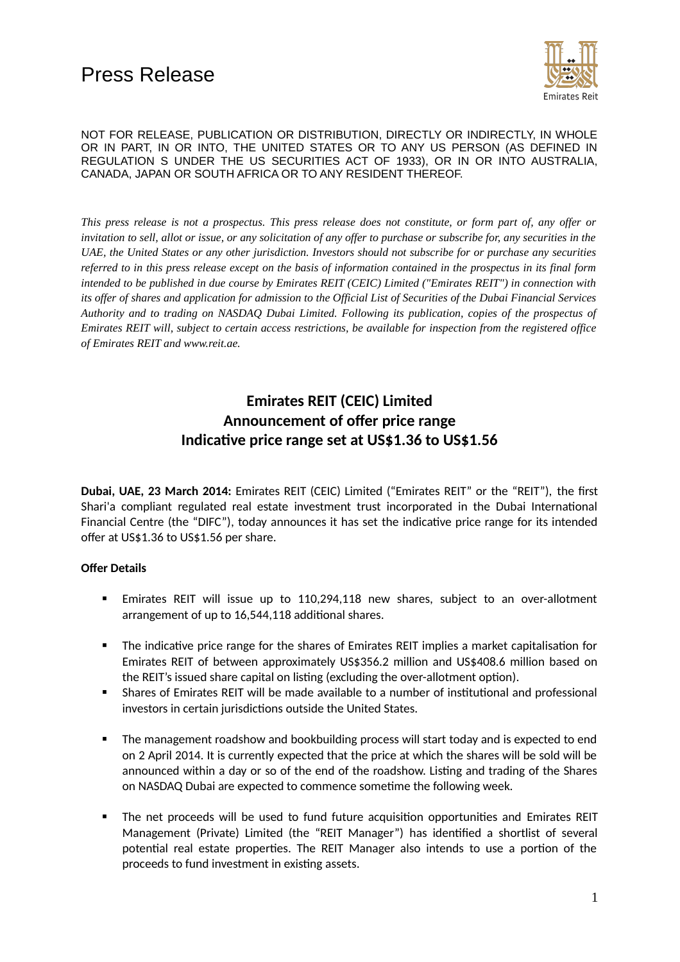

*This press release is not a prospectus. This press release does not constitute, or form part of, any offer or invitation to sell, allot or issue, or any solicitation of any offer to purchase or subscribe for, any securities in the UAE, the United States or any other jurisdiction. Investors should not subscribe for or purchase any securities referred to in this press release except on the basis of information contained in the prospectus in its final form intended to be published in due course by Emirates REIT (CEIC) Limited ("Emirates REIT") in connection with its offer of shares and application for admission to the Official List of Securities of the Dubai Financial Services Authority and to trading on NASDAQ Dubai Limited. Following its publication, copies of the prospectus of Emirates REIT will, subject to certain access restrictions, be available for inspection from the registered office of Emirates REIT and www.reit.ae.*

# **Emirates REIT (CEIC) Limited Announcement of offer price range Indicative price range set at US\$1.36 to US\$1.56**

**Dubai, UAE, 23 March 2014:** Emirates REIT (CEIC) Limited ("Emirates REIT" or the "REIT"), the first Shari'a compliant regulated real estate investment trust incorporated in the Dubai International Financial Centre (the "DIFC"), today announces it has set the indicative price range for its intended offer at US\$1.36 to US\$1.56 per share.

## **Offer Details**

- Emirates REIT will issue up to 110,294,118 new shares, subject to an over-allotment arrangement of up to 16,544,118 additional shares.
- The indicative price range for the shares of Emirates REIT implies a market capitalisation for Emirates REIT of between approximately US\$356.2 million and US\$408.6 million based on the REIT's issued share capital on listing (excluding the over-allotment option).
- Shares of Emirates REIT will be made available to a number of institutional and professional investors in certain jurisdictions outside the United States.
- **The management roadshow and bookbuilding process will start today and is expected to end** on 2 April 2014. It is currently expected that the price at which the shares will be sold will be announced within a day or so of the end of the roadshow. Listing and trading of the Shares on NASDAQ Dubai are expected to commence sometime the following week.
- **The net proceeds will be used to fund future acquisition opportunities and Emirates REIT** Management (Private) Limited (the "REIT Manager") has identified a shortlist of several potential real estate properties. The REIT Manager also intends to use a portion of the proceeds to fund investment in existing assets.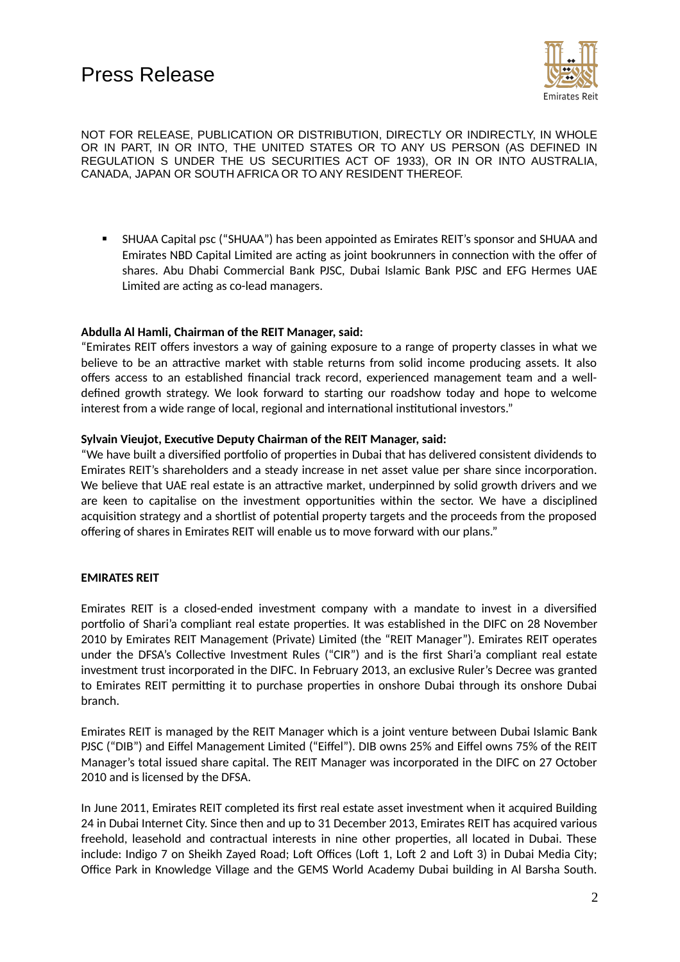

 SHUAA Capital psc ("SHUAA") has been appointed as Emirates REIT's sponsor and SHUAA and Emirates NBD Capital Limited are acting as joint bookrunners in connection with the offer of shares. Abu Dhabi Commercial Bank PJSC, Dubai Islamic Bank PJSC and EFG Hermes UAE Limited are acting as co-lead managers.

### **Abdulla Al Hamli, Chairman of the REIT Manager, said:**

"Emirates REIT offers investors a way of gaining exposure to a range of property classes in what we believe to be an attractive market with stable returns from solid income producing assets. It also offers access to an established financial track record, experienced management team and a welldefined growth strategy. We look forward to starting our roadshow today and hope to welcome interest from a wide range of local, regional and international institutional investors."

#### **Sylvain Vieujot, Executive Deputy Chairman of the REIT Manager, said:**

"We have built a diversified portfolio of properties in Dubai that has delivered consistent dividends to Emirates REIT's shareholders and a steady increase in net asset value per share since incorporation. We believe that UAE real estate is an attractive market, underpinned by solid growth drivers and we are keen to capitalise on the investment opportunities within the sector. We have a disciplined acquisition strategy and a shortlist of potential property targets and the proceeds from the proposed offering of shares in Emirates REIT will enable us to move forward with our plans."

## **EMIRATES REIT**

Emirates REIT is a closed-ended investment company with a mandate to invest in a diversified portfolio of Shari'a compliant real estate properties. It was established in the DIFC on 28 November 2010 by Emirates REIT Management (Private) Limited (the "REIT Manager"). Emirates REIT operates under the DFSA's Collective Investment Rules ("CIR") and is the first Shari'a compliant real estate investment trust incorporated in the DIFC. In February 2013, an exclusive Ruler's Decree was granted to Emirates REIT permitting it to purchase properties in onshore Dubai through its onshore Dubai branch.

Emirates REIT is managed by the REIT Manager which is a joint venture between Dubai Islamic Bank PJSC ("DIB") and Eiffel Management Limited ("Eiffel"). DIB owns 25% and Eiffel owns 75% of the REIT Manager's total issued share capital. The REIT Manager was incorporated in the DIFC on 27 October 2010 and is licensed by the DFSA.

In June 2011, Emirates REIT completed its first real estate asset investment when it acquired Building 24 in Dubai Internet City. Since then and up to 31 December 2013, Emirates REIT has acquired various freehold, leasehold and contractual interests in nine other properties, all located in Dubai. These include: Indigo 7 on Sheikh Zayed Road; Loft Offices (Loft 1, Loft 2 and Loft 3) in Dubai Media City; Office Park in Knowledge Village and the GEMS World Academy Dubai building in Al Barsha South.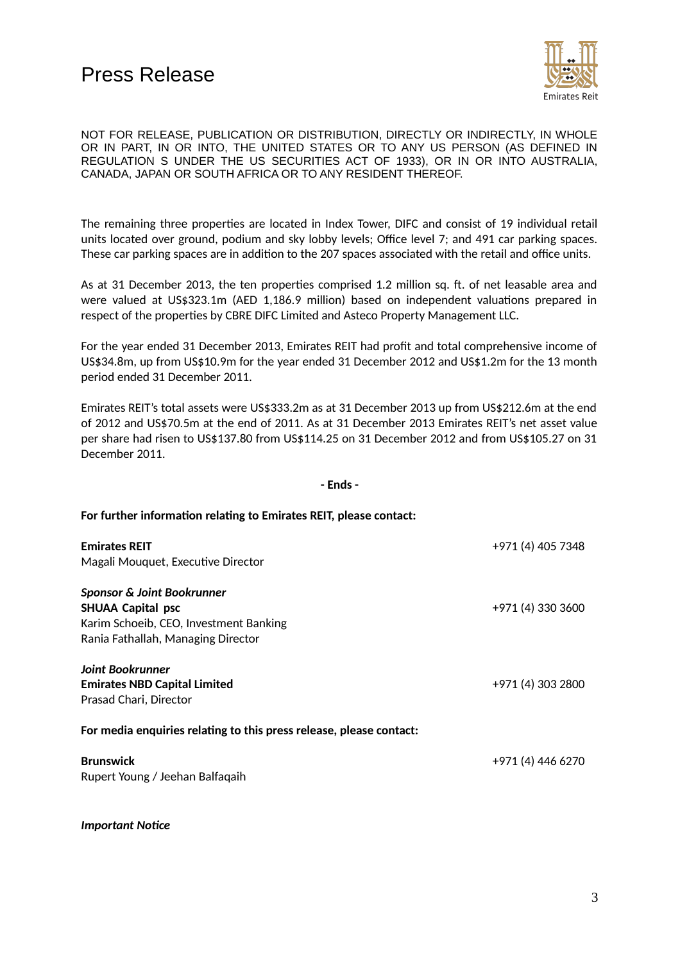

The remaining three properties are located in Index Tower, DIFC and consist of 19 individual retail units located over ground, podium and sky lobby levels; Office level 7; and 491 car parking spaces. These car parking spaces are in addition to the 207 spaces associated with the retail and office units.

As at 31 December 2013, the ten properties comprised 1.2 million sq. ft. of net leasable area and were valued at US\$323.1m (AED 1,186.9 million) based on independent valuations prepared in respect of the properties by CBRE DIFC Limited and Asteco Property Management LLC.

For the year ended 31 December 2013, Emirates REIT had profit and total comprehensive income of US\$34.8m, up from US\$10.9m for the year ended 31 December 2012 and US\$1.2m for the 13 month period ended 31 December 2011.

Emirates REIT's total assets were US\$333.2m as at 31 December 2013 up from US\$212.6m at the end of 2012 and US\$70.5m at the end of 2011. As at 31 December 2013 Emirates REIT's net asset value per share had risen to US\$137.80 from US\$114.25 on 31 December 2012 and from US\$105.27 on 31 December 2011.

#### **- Ends -**

#### **For further information relating to Emirates REIT, please contact:**

| <b>Emirates REIT</b><br>Magali Mouquet, Executive Director                                                                                        | +971 (4) 405 7348 |
|---------------------------------------------------------------------------------------------------------------------------------------------------|-------------------|
| <b>Sponsor &amp; Joint Bookrunner</b><br><b>SHUAA Capital psc</b><br>Karim Schoeib, CEO, Investment Banking<br>Rania Fathallah, Managing Director | +971 (4) 330 3600 |
| Joint Bookrunner<br><b>Emirates NBD Capital Limited</b><br>Prasad Chari, Director                                                                 | +971 (4) 303 2800 |
| For media enquiries relating to this press release, please contact:<br><b>Brunswick</b><br>Rupert Young / Jeehan Balfaqaih                        | +971 (4) 446 6270 |

*Important Notice*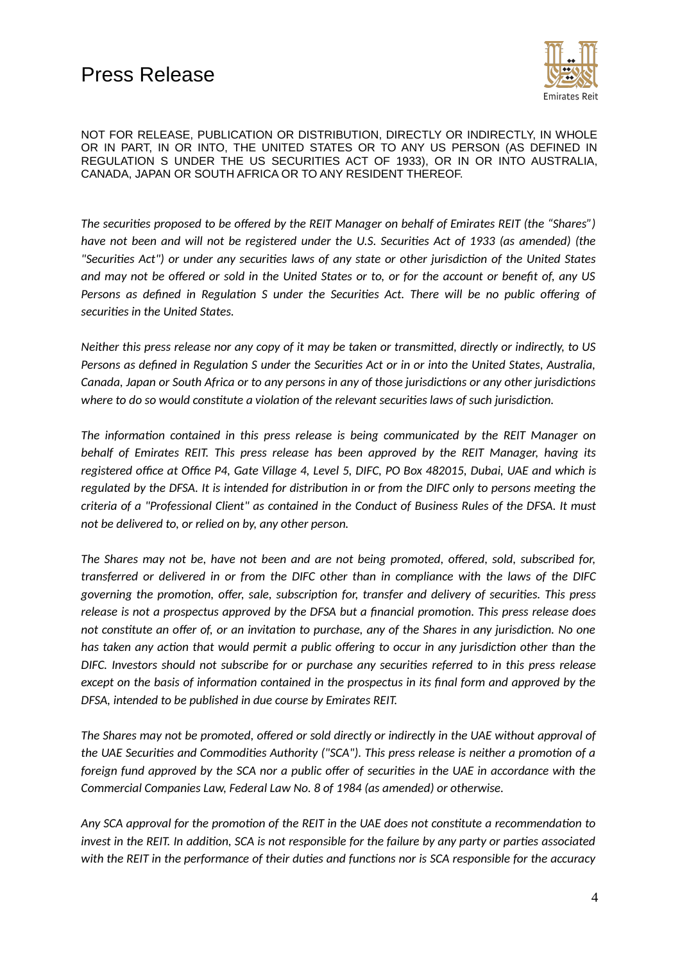

*The securities proposed to be offered by the REIT Manager on behalf of Emirates REIT (the "Shares") have not been and will not be registered under the U.S. Securities Act of 1933 (as amended) (the "Securities Act") or under any securities laws of any state or other jurisdiction of the United States and may not be offered or sold in the United States or to, or for the account or benefit of, any US Persons as defined in Regulation S under the Securities Act. There will be no public offering of securities in the United States.*

*Neither this press release nor any copy of it may be taken or transmitted, directly or indirectly, to US Persons as defined in Regulation S under the Securities Act or in or into the United States, Australia, Canada, Japan or South Africa or to any persons in any of those jurisdictions or any other jurisdictions where to do so would constitute a violation of the relevant securities laws of such jurisdiction.*

*The information contained in this press release is being communicated by the REIT Manager on behalf of Emirates REIT. This press release has been approved by the REIT Manager, having its registered office at Office P4, Gate Village 4, Level 5, DIFC, PO Box 482015, Dubai, UAE and which is regulated by the DFSA. It is intended for distribution in or from the DIFC only to persons meeting the criteria of a "Professional Client" as contained in the Conduct of Business Rules of the DFSA. It must not be delivered to, or relied on by, any other person.* 

*The Shares may not be, have not been and are not being promoted, offered, sold, subscribed for, transferred or delivered in or from the DIFC other than in compliance with the laws of the DIFC governing the promotion, offer, sale, subscription for, transfer and delivery of securities. This press release is not a prospectus approved by the DFSA but a financial promotion. This press release does not constitute an offer of, or an invitation to purchase, any of the Shares in any jurisdiction. No one has taken any action that would permit a public offering to occur in any jurisdiction other than the DIFC. Investors should not subscribe for or purchase any securities referred to in this press release except on the basis of information contained in the prospectus in its final form and approved by the DFSA, intended to be published in due course by Emirates REIT.*

*The Shares may not be promoted, offered or sold directly or indirectly in the UAE without approval of the UAE Securities and Commodities Authority ("SCA"). This press release is neither a promotion of a foreign fund approved by the SCA nor a public offer of securities in the UAE in accordance with the Commercial Companies Law, Federal Law No. 8 of 1984 (as amended) or otherwise.*

*Any SCA approval for the promotion of the REIT in the UAE does not constitute a recommendation to invest in the REIT. In addition, SCA is not responsible for the failure by any party or parties associated with the REIT in the performance of their duties and functions nor is SCA responsible for the accuracy*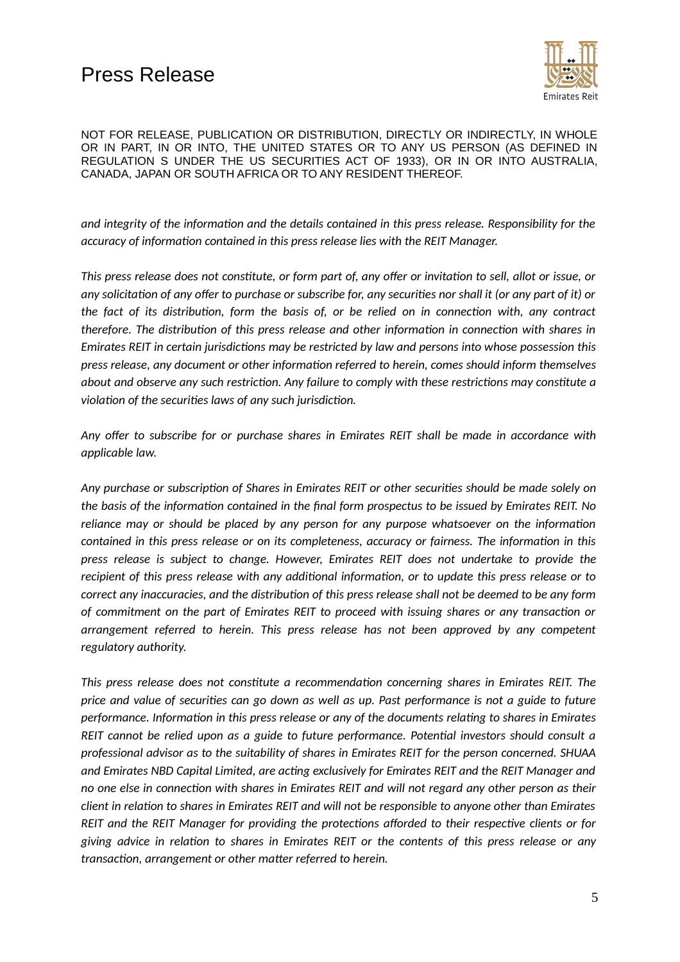

*and integrity of the information and the details contained in this press release. Responsibility for the accuracy of information contained in this press release lies with the REIT Manager.*

*This press release does not constitute, or form part of, any offer or invitation to sell, allot or issue, or any solicitation of any offer to purchase or subscribe for, any securities nor shall it (or any part of it) or the fact of its distribution, form the basis of, or be relied on in connection with, any contract therefore. The distribution of this press release and other information in connection with shares in Emirates REIT in certain jurisdictions may be restricted by law and persons into whose possession this press release, any document or other information referred to herein, comes should inform themselves about and observe any such restriction. Any failure to comply with these restrictions may constitute a violation of the securities laws of any such jurisdiction.*

*Any offer to subscribe for or purchase shares in Emirates REIT shall be made in accordance with applicable law.* 

*Any purchase or subscription of Shares in Emirates REIT or other securities should be made solely on the basis of the information contained in the final form prospectus to be issued by Emirates REIT. No reliance may or should be placed by any person for any purpose whatsoever on the information contained in this press release or on its completeness, accuracy or fairness. The information in this press release is subject to change. However, Emirates REIT does not undertake to provide the recipient of this press release with any additional information, or to update this press release or to correct any inaccuracies, and the distribution of this press release shall not be deemed to be any form of commitment on the part of Emirates REIT to proceed with issuing shares or any transaction or arrangement referred to herein. This press release has not been approved by any competent regulatory authority.*

*This press release does not constitute a recommendation concerning shares in Emirates REIT. The price and value of securities can go down as well as up. Past performance is not a guide to future performance. Information in this press release or any of the documents relating to shares in Emirates REIT cannot be relied upon as a guide to future performance. Potential investors should consult a professional advisor as to the suitability of shares in Emirates REIT for the person concerned. SHUAA and Emirates NBD Capital Limited, are acting exclusively for Emirates REIT and the REIT Manager and no one else in connection with shares in Emirates REIT and will not regard any other person as their client in relation to shares in Emirates REIT and will not be responsible to anyone other than Emirates REIT and the REIT Manager for providing the protections afforded to their respective clients or for giving advice in relation to shares in Emirates REIT or the contents of this press release or any transaction, arrangement or other matter referred to herein.*